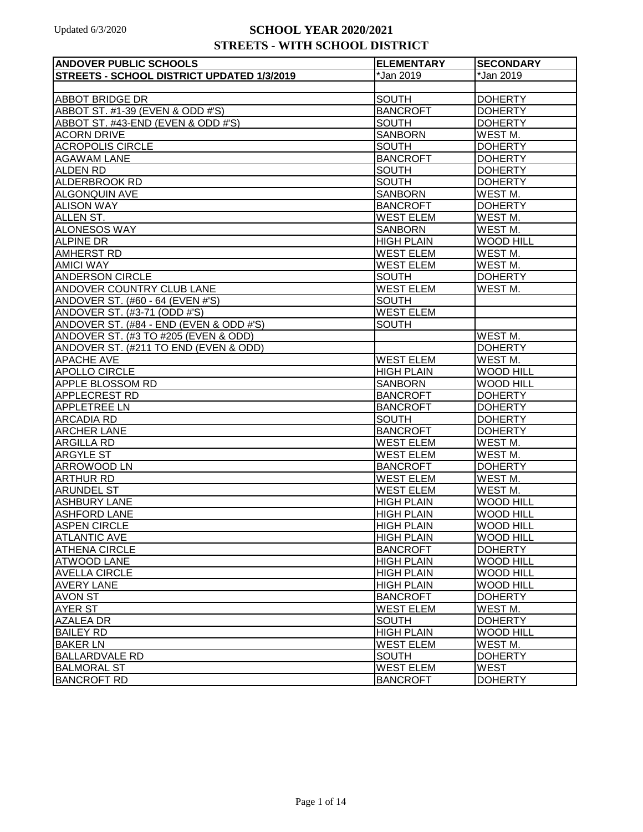| <b>ANDOVER PUBLIC SCHOOLS</b>              | <b>ELEMENTARY</b> | <b>SECONDARY</b>    |
|--------------------------------------------|-------------------|---------------------|
| STREETS - SCHOOL DISTRICT UPDATED 1/3/2019 | *Jan 2019         | *Jan 2019           |
|                                            |                   |                     |
| <b>ABBOT BRIDGE DR</b>                     | <b>SOUTH</b>      | <b>DOHERTY</b>      |
| ABBOT ST. #1-39 (EVEN & ODD #'S)           | <b>BANCROFT</b>   | <b>DOHERTY</b>      |
| ABBOT ST. #43-END (EVEN & ODD #'S)         | <b>SOUTH</b>      | <b>DOHERTY</b>      |
| <b>ACORN DRIVE</b>                         | <b>SANBORN</b>    | <b>WEST M.</b>      |
| <b>ACROPOLIS CIRCLE</b>                    | <b>SOUTH</b>      | <b>DOHERTY</b>      |
| <b>AGAWAM LANE</b>                         | <b>BANCROFT</b>   | <b>DOHERTY</b>      |
| <b>ALDEN RD</b>                            | SOUTH             | <b>DOHERTY</b>      |
| <b>ALDERBROOK RD</b>                       | <b>SOUTH</b>      | <b>DOHERTY</b>      |
| <b>ALGONQUIN AVE</b>                       | <b>SANBORN</b>    | WEST <sub>M.</sub>  |
| <b>ALISON WAY</b>                          | <b>BANCROFT</b>   | <b>DOHERTY</b>      |
| <b>ALLEN ST.</b>                           | <b>WEST ELEM</b>  | WEST <sub>M.</sub>  |
| <b>ALONESOS WAY</b>                        | <b>SANBORN</b>    | WEST M.             |
| <b>ALPINE DR</b>                           | <b>HIGH PLAIN</b> | <b>WOOD HILL</b>    |
| <b>AMHERST RD</b>                          | <b>WEST ELEM</b>  | WEST <sub>M</sub> . |
| <b>AMICI WAY</b>                           | <b>WEST ELEM</b>  | WEST <sub>M.</sub>  |
| <b>ANDERSON CIRCLE</b>                     | <b>SOUTH</b>      | <b>DOHERTY</b>      |
| <b>ANDOVER COUNTRY CLUB LANE</b>           | <b>WEST ELEM</b>  | WEST M.             |
| ANDOVER ST. (#60 - 64 (EVEN #'S)           | <b>SOUTH</b>      |                     |
| ANDOVER ST. (#3-71 (ODD #'S)               | <b>WEST ELEM</b>  |                     |
| ANDOVER ST. (#84 - END (EVEN & ODD #'S)    | <b>SOUTH</b>      |                     |
| ANDOVER ST. (#3 TO #205 (EVEN & ODD)       |                   | WEST M.             |
| ANDOVER ST. (#211 TO END (EVEN & ODD)      |                   | <b>DOHERTY</b>      |
| <b>APACHE AVE</b>                          | <b>WEST ELEM</b>  | WEST M.             |
| <b>APOLLO CIRCLE</b>                       | <b>HIGH PLAIN</b> | <b>WOOD HILL</b>    |
| APPLE BLOSSOM RD                           | <b>SANBORN</b>    | <b>WOOD HILL</b>    |
| APPLECREST RD                              | <b>BANCROFT</b>   | <b>DOHERTY</b>      |
| <b>APPLETREE LN</b>                        | <b>BANCROFT</b>   | <b>DOHERTY</b>      |
| <b>ARCADIA RD</b>                          | SOUTH             | <b>DOHERTY</b>      |
| <b>ARCHER LANE</b>                         | <b>BANCROFT</b>   | <b>DOHERTY</b>      |
| <b>ARGILLA RD</b>                          | <b>WEST ELEM</b>  | WEST M.             |
| <b>ARGYLE ST</b>                           | <b>WEST ELEM</b>  | WEST <sub>M.</sub>  |
| ARROWOOD LN                                | <b>BANCROFT</b>   | <b>DOHERTY</b>      |
| <b>ARTHUR RD</b>                           | <b>WEST ELEM</b>  | WEST <sub>M.</sub>  |
| <b>ARUNDEL ST</b>                          | <b>WEST ELEM</b>  | WEST M.             |
| <b>ASHBURY LANE</b>                        | <b>HIGH PLAIN</b> | <b>WOOD HILL</b>    |
| <b>ASHFORD LANE</b>                        | <b>HIGH PLAIN</b> | <b>WOOD HILL</b>    |
| <b>ASPEN CIRCLE</b>                        | <b>HIGH PLAIN</b> | <b>WOOD HILL</b>    |
| <b>ATLANTIC AVE</b>                        | <b>HIGH PLAIN</b> | <b>WOOD HILL</b>    |
| <b>ATHENA CIRCLE</b>                       | <b>BANCROFT</b>   | <b>DOHERTY</b>      |
| <b>ATWOOD LANE</b>                         | <b>HIGH PLAIN</b> | <b>WOOD HILL</b>    |
| <b>AVELLA CIRCLE</b>                       | <b>HIGH PLAIN</b> | <b>WOOD HILL</b>    |
| <b>AVERY LANE</b>                          | <b>HIGH PLAIN</b> | <b>WOOD HILL</b>    |
| <b>AVON ST</b>                             | <b>BANCROFT</b>   | <b>DOHERTY</b>      |
| <b>AYER ST</b>                             | <b>WEST ELEM</b>  | WEST M.             |
| <b>AZALEA DR</b>                           | <b>SOUTH</b>      | <b>DOHERTY</b>      |
| <b>BAILEY RD</b>                           | <b>HIGH PLAIN</b> | <b>WOOD HILL</b>    |
| <b>BAKER LN</b>                            | <b>WEST ELEM</b>  | WEST M.             |
| <b>BALLARDVALE RD</b>                      | <b>SOUTH</b>      | <b>DOHERTY</b>      |
| <b>BALMORAL ST</b>                         | <b>WEST ELEM</b>  | <b>WEST</b>         |
| <b>BANCROFT RD</b>                         | <b>BANCROFT</b>   | <b>DOHERTY</b>      |
|                                            |                   |                     |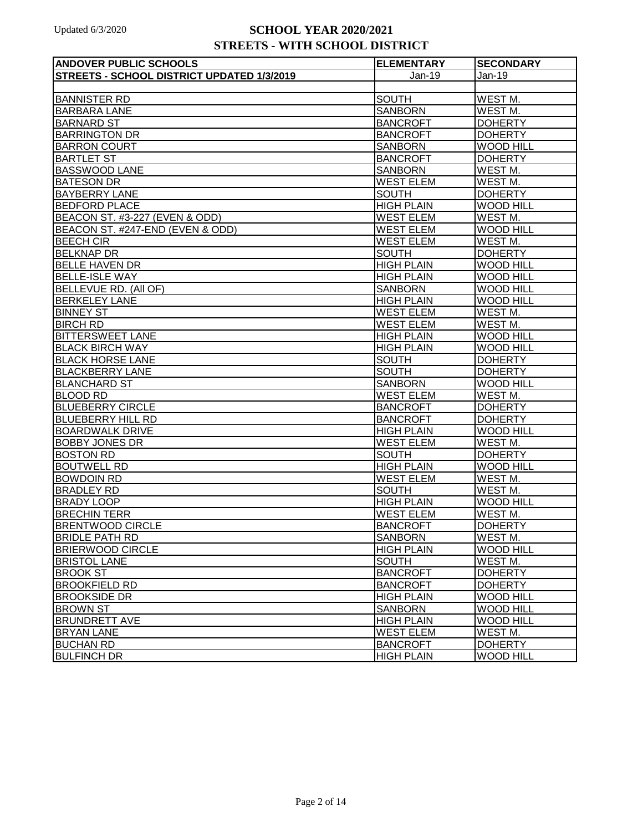| <b>ANDOVER PUBLIC SCHOOLS</b>                     | <b>ELEMENTARY</b> | <b>SECONDARY</b>    |
|---------------------------------------------------|-------------------|---------------------|
| <b>STREETS - SCHOOL DISTRICT UPDATED 1/3/2019</b> | Jan-19            | $Jan-19$            |
|                                                   |                   |                     |
| <b>BANNISTER RD</b>                               | <b>SOUTH</b>      | WEST M.             |
| <b>BARBARA LANE</b>                               | <b>SANBORN</b>    | WEST M.             |
| <b>BARNARD ST</b>                                 | <b>BANCROFT</b>   | <b>DOHERTY</b>      |
| <b>BARRINGTON DR</b>                              | <b>BANCROFT</b>   | <b>DOHERTY</b>      |
| <b>BARRON COURT</b>                               | <b>SANBORN</b>    | <b>WOOD HILL</b>    |
| <b>BARTLET ST</b>                                 | <b>BANCROFT</b>   | <b>DOHERTY</b>      |
| <b>BASSWOOD LANE</b>                              | <b>SANBORN</b>    | WEST M.             |
| <b>BATESON DR</b>                                 | <b>WEST ELEM</b>  | WEST M.             |
| <b>BAYBERRY LANE</b>                              | <b>SOUTH</b>      | <b>DOHERTY</b>      |
| <b>BEDFORD PLACE</b>                              | <b>HIGH PLAIN</b> | <b>WOOD HILL</b>    |
| BEACON ST. #3-227 (EVEN & ODD)                    | <b>WEST ELEM</b>  | WEST <sub>M.</sub>  |
| BEACON ST. #247-END (EVEN & ODD)                  | <b>WEST ELEM</b>  | <b>WOOD HILL</b>    |
| <b>BEECH CIR</b>                                  | <b>WEST ELEM</b>  | WEST <sub>M.</sub>  |
| <b>BELKNAP DR</b>                                 | <b>SOUTH</b>      | <b>DOHERTY</b>      |
| <b>BELLE HAVEN DR</b>                             | <b>HIGH PLAIN</b> | <b>WOOD HILL</b>    |
| <b>BELLE-ISLE WAY</b>                             | <b>HIGH PLAIN</b> | <b>WOOD HILL</b>    |
| <b>BELLEVUE RD. (AII OF)</b>                      | <b>SANBORN</b>    | <b>WOOD HILL</b>    |
| <b>BERKELEY LANE</b>                              | <b>HIGH PLAIN</b> | <b>WOOD HILL</b>    |
| <b>BINNEY ST</b>                                  | <b>WEST ELEM</b>  | WEST <sub>M.</sub>  |
| <b>BIRCH RD</b>                                   | <b>WEST ELEM</b>  | WEST <sub>M.</sub>  |
| <b>BITTERSWEET LANE</b>                           | <b>HIGH PLAIN</b> | <b>WOOD HILL</b>    |
| <b>BLACK BIRCH WAY</b>                            | <b>HIGH PLAIN</b> | <b>WOOD HILL</b>    |
| <b>BLACK HORSE LANE</b>                           | <b>SOUTH</b>      | <b>DOHERTY</b>      |
| <b>BLACKBERRY LANE</b>                            | <b>SOUTH</b>      | <b>DOHERTY</b>      |
| <b>BLANCHARD ST</b>                               | <b>SANBORN</b>    | <b>WOOD HILL</b>    |
| <b>BLOOD RD</b>                                   | <b>WEST ELEM</b>  | WEST <sub>M</sub> . |
| <b>BLUEBERRY CIRCLE</b>                           | <b>BANCROFT</b>   | <b>DOHERTY</b>      |
| <b>BLUEBERRY HILL RD</b>                          | <b>BANCROFT</b>   | <b>DOHERTY</b>      |
| <b>BOARDWALK DRIVE</b>                            | <b>HIGH PLAIN</b> | <b>WOOD HILL</b>    |
| <b>BOBBY JONES DR</b>                             | <b>WEST ELEM</b>  | WEST M.             |
| <b>BOSTON RD</b>                                  | <b>SOUTH</b>      | <b>DOHERTY</b>      |
| <b>BOUTWELL RD</b>                                | <b>HIGH PLAIN</b> | <b>WOOD HILL</b>    |
| <b>BOWDOIN RD</b>                                 | <b>WEST ELEM</b>  | WEST <sub>M.</sub>  |
| <b>BRADLEY RD</b>                                 | <b>SOUTH</b>      | WEST M.             |
| <b>BRADY LOOP</b>                                 | <b>HIGH PLAIN</b> | <b>WOOD HILL</b>    |
| <b>BRECHIN TERR</b>                               | <b>WEST ELEM</b>  | WEST M.             |
| <b>BRENTWOOD CIRCLE</b>                           | <b>BANCROFT</b>   | <b>DOHERTY</b>      |
| <b>BRIDLE PATH RD</b>                             | <b>SANBORN</b>    | WEST M.             |
| <b>BRIERWOOD CIRCLE</b>                           | <b>HIGH PLAIN</b> | <b>WOOD HILL</b>    |
| <b>BRISTOL LANE</b>                               | <b>SOUTH</b>      | WEST M.             |
| <b>BROOK ST</b>                                   | <b>BANCROFT</b>   | <b>DOHERTY</b>      |
| <b>BROOKFIELD RD</b>                              | <b>BANCROFT</b>   | <b>DOHERTY</b>      |
| <b>BROOKSIDE DR</b>                               | <b>HIGH PLAIN</b> | <b>WOOD HILL</b>    |
| <b>BROWN ST</b>                                   | <b>SANBORN</b>    | <b>WOOD HILL</b>    |
| <b>BRUNDRETT AVE</b>                              | <b>HIGH PLAIN</b> | <b>WOOD HILL</b>    |
| <b>BRYAN LANE</b>                                 | WEST ELEM         | WEST M.             |
| <b>BUCHAN RD</b>                                  | <b>BANCROFT</b>   | <b>DOHERTY</b>      |
| <b>BULFINCH DR</b>                                | <b>HIGH PLAIN</b> | <b>WOOD HILL</b>    |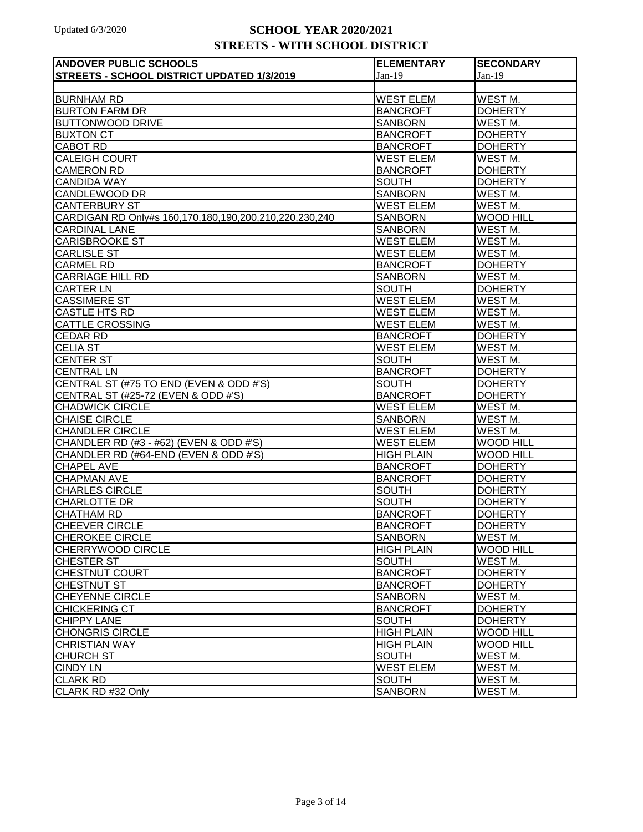| <b>ANDOVER PUBLIC SCHOOLS</b>                          | <b>ELEMENTARY</b> | <b>SECONDARY</b>   |
|--------------------------------------------------------|-------------------|--------------------|
| STREETS - SCHOOL DISTRICT UPDATED 1/3/2019             | $Jan-19$          | $Jan-19$           |
|                                                        |                   |                    |
| <b>BURNHAM RD</b>                                      | <b>WEST ELEM</b>  | WEST M.            |
| <b>BURTON FARM DR</b>                                  | <b>BANCROFT</b>   | <b>DOHERTY</b>     |
| <b>BUTTONWOOD DRIVE</b>                                | SANBORN           | WEST <sub>M.</sub> |
| <b>BUXTON CT</b>                                       | <b>BANCROFT</b>   | <b>DOHERTY</b>     |
| CABOT RD                                               | <b>BANCROFT</b>   | <b>DOHERTY</b>     |
| <b>CALEIGH COURT</b>                                   | <b>WEST ELEM</b>  | WEST M.            |
| <b>CAMERON RD</b>                                      | <b>BANCROFT</b>   | <b>DOHERTY</b>     |
| <b>CANDIDA WAY</b>                                     | <b>SOUTH</b>      | <b>DOHERTY</b>     |
| CANDLEWOOD DR                                          | <b>SANBORN</b>    | WEST M.            |
| <b>CANTERBURY ST</b>                                   | <b>WEST ELEM</b>  | WEST <sub>M.</sub> |
| CARDIGAN RD Only#s 160,170,180,190,200,210,220,230,240 | <b>SANBORN</b>    | <b>WOOD HILL</b>   |
| <b>CARDINAL LANE</b>                                   | <b>SANBORN</b>    | WEST <sub>M.</sub> |
| <b>CARISBROOKE ST</b>                                  | <b>WEST ELEM</b>  | WEST M.            |
| <b>CARLISLE ST</b>                                     | <b>WEST ELEM</b>  | WEST M.            |
| <b>CARMEL RD</b>                                       | <b>BANCROFT</b>   | <b>DOHERTY</b>     |
| <b>CARRIAGE HILL RD</b>                                | <b>SANBORN</b>    | WEST <sub>M.</sub> |
| <b>CARTER LN</b>                                       | <b>SOUTH</b>      | <b>DOHERTY</b>     |
| <b>CASSIMERE ST</b>                                    | <b>WEST ELEM</b>  | WEST M.            |
| <b>CASTLE HTS RD</b>                                   | <b>WEST ELEM</b>  | WEST M.            |
| <b>CATTLE CROSSING</b>                                 | <b>WEST ELEM</b>  | WEST M.            |
| <b>CEDAR RD</b>                                        | <b>BANCROFT</b>   | <b>DOHERTY</b>     |
| <b>CELIA ST</b>                                        | <b>WEST ELEM</b>  | WEST M.            |
| <b>CENTER ST</b>                                       | <b>SOUTH</b>      | WEST M.            |
| <b>CENTRAL LN</b>                                      | <b>BANCROFT</b>   | <b>DOHERTY</b>     |
| CENTRAL ST (#75 TO END (EVEN & ODD #'S)                | <b>SOUTH</b>      | <b>DOHERTY</b>     |
| CENTRAL ST (#25-72 (EVEN & ODD #'S)                    | <b>BANCROFT</b>   | <b>DOHERTY</b>     |
| <b>CHADWICK CIRCLE</b>                                 | <b>WEST ELEM</b>  | WEST M.            |
| <b>CHAISE CIRCLE</b>                                   | <b>SANBORN</b>    | WEST M.            |
| <b>CHANDLER CIRCLE</b>                                 | <b>WEST ELEM</b>  | WEST <sub>M.</sub> |
| CHANDLER RD (#3 - #62) (EVEN & ODD #'S)                | <b>WEST ELEM</b>  | <b>WOOD HILL</b>   |
| CHANDLER RD (#64-END (EVEN & ODD #'S)                  | <b>HIGH PLAIN</b> | <b>WOOD HILL</b>   |
| <b>CHAPEL AVE</b>                                      | <b>BANCROFT</b>   | <b>DOHERTY</b>     |
| <b>CHAPMAN AVE</b>                                     | <b>BANCROFT</b>   | <b>DOHERTY</b>     |
| <b>CHARLES CIRCLE</b>                                  | <b>SOUTH</b>      | <b>DOHERTY</b>     |
| <b>CHARLOTTE DR</b>                                    | <b>SOUTH</b>      | <b>DOHERTY</b>     |
| <b>CHATHAM RD</b>                                      | <b>BANCROFT</b>   | <b>DOHERTY</b>     |
| <b>CHEEVER CIRCLE</b>                                  | <b>BANCROFT</b>   | <b>DOHERTY</b>     |
| <b>CHEROKEE CIRCLE</b>                                 | <b>SANBORN</b>    | WEST M.            |
| CHERRYWOOD CIRCLE                                      | <b>HIGH PLAIN</b> | <b>WOOD HILL</b>   |
| <b>CHESTER ST</b>                                      | <b>SOUTH</b>      | WEST M.            |
| <b>CHESTNUT COURT</b>                                  | <b>BANCROFT</b>   | <b>DOHERTY</b>     |
| <b>CHESTNUT ST</b>                                     | <b>BANCROFT</b>   | <b>DOHERTY</b>     |
| <b>CHEYENNE CIRCLE</b>                                 | <b>SANBORN</b>    | WEST M.            |
| <b>CHICKERING CT</b>                                   | <b>BANCROFT</b>   | <b>DOHERTY</b>     |
| <b>CHIPPY LANE</b>                                     | <b>SOUTH</b>      | <b>DOHERTY</b>     |
| <b>CHONGRIS CIRCLE</b>                                 | <b>HIGH PLAIN</b> | <b>WOOD HILL</b>   |
| <b>CHRISTIAN WAY</b>                                   | <b>HIGH PLAIN</b> | <b>WOOD HILL</b>   |
| <b>CHURCH ST</b>                                       | <b>SOUTH</b>      | WEST <sub>M.</sub> |
| <b>CINDY LN</b>                                        | <b>WEST ELEM</b>  | WEST M.            |
| <b>CLARK RD</b>                                        | <b>SOUTH</b>      | WEST M.            |
| CLARK RD #32 Only                                      | <b>SANBORN</b>    | WEST M.            |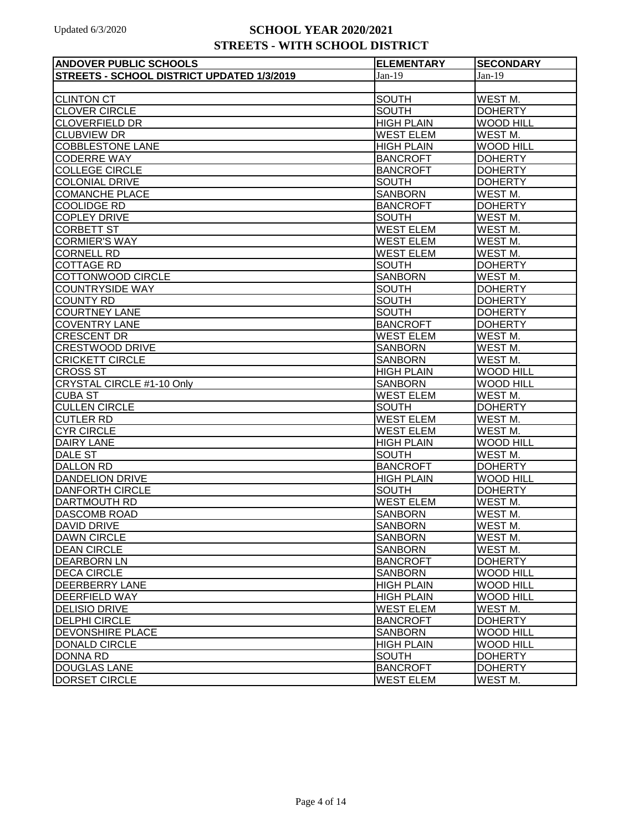| <b>ANDOVER PUBLIC SCHOOLS</b>              | <b>ELEMENTARY</b> | <b>SECONDARY</b>    |
|--------------------------------------------|-------------------|---------------------|
| STREETS - SCHOOL DISTRICT UPDATED 1/3/2019 | $Jan-19$          | $Jan-19$            |
|                                            |                   |                     |
| <b>CLINTON CT</b>                          | <b>SOUTH</b>      | WEST M.             |
| <b>CLOVER CIRCLE</b>                       | <b>SOUTH</b>      | <b>DOHERTY</b>      |
| <b>CLOVERFIELD DR</b>                      | <b>HIGH PLAIN</b> | <b>WOOD HILL</b>    |
| <b>CLUBVIEW DR</b>                         | <b>WEST ELEM</b>  | WEST <sub>M</sub> . |
| <b>COBBLESTONE LANE</b>                    | <b>HIGH PLAIN</b> | <b>WOOD HILL</b>    |
| <b>CODERRE WAY</b>                         | <b>BANCROFT</b>   | <b>DOHERTY</b>      |
| <b>COLLEGE CIRCLE</b>                      | <b>BANCROFT</b>   | <b>DOHERTY</b>      |
| <b>COLONIAL DRIVE</b>                      | <b>SOUTH</b>      | <b>DOHERTY</b>      |
| <b>COMANCHE PLACE</b>                      | <b>SANBORN</b>    | WEST <sub>M</sub> . |
| <b>COOLIDGE RD</b>                         | <b>BANCROFT</b>   | <b>DOHERTY</b>      |
| <b>COPLEY DRIVE</b>                        | <b>SOUTH</b>      | WEST <sub>M</sub> . |
| <b>CORBETT ST</b>                          | <b>WEST ELEM</b>  | WEST M.             |
| <b>CORMIER'S WAY</b>                       | <b>WEST ELEM</b>  | WEST <sub>M</sub> . |
| <b>CORNELL RD</b>                          | <b>WEST ELEM</b>  | WEST <sub>M.</sub>  |
| <b>COTTAGE RD</b>                          | <b>SOUTH</b>      | <b>DOHERTY</b>      |
| COTTONWOOD CIRCLE                          | <b>SANBORN</b>    | WEST <sub>M</sub> . |
| <b>COUNTRYSIDE WAY</b>                     | <b>SOUTH</b>      | <b>DOHERTY</b>      |
| <b>COUNTY RD</b>                           | <b>SOUTH</b>      | <b>DOHERTY</b>      |
| <b>COURTNEY LANE</b>                       | <b>SOUTH</b>      | <b>DOHERTY</b>      |
| <b>COVENTRY LANE</b>                       | <b>BANCROFT</b>   | <b>DOHERTY</b>      |
| <b>CRESCENT DR</b>                         | <b>WEST ELEM</b>  | WEST <sub>M</sub> . |
| <b>CRESTWOOD DRIVE</b>                     | <b>SANBORN</b>    | WEST <sub>M</sub> . |
| <b>CRICKETT CIRCLE</b>                     | <b>SANBORN</b>    | WEST <sub>M.</sub>  |
| <b>CROSS ST</b>                            | <b>HIGH PLAIN</b> | <b>WOOD HILL</b>    |
| <b>CRYSTAL CIRCLE #1-10 Only</b>           | <b>SANBORN</b>    | <b>WOOD HILL</b>    |
| <b>CUBA ST</b>                             | <b>WEST ELEM</b>  | WEST <sub>M.</sub>  |
| <b>CULLEN CIRCLE</b>                       | <b>SOUTH</b>      | <b>DOHERTY</b>      |
| <b>CUTLER RD</b>                           | <b>WEST ELEM</b>  | WEST <sub>M</sub> . |
| <b>CYR CIRCLE</b>                          | <b>WEST ELEM</b>  | WEST M.             |
| <b>DAIRY LANE</b>                          | <b>HIGH PLAIN</b> | <b>WOOD HILL</b>    |
| <b>DALE ST</b>                             | <b>SOUTH</b>      | WEST <sub>M</sub> . |
| <b>DALLON RD</b>                           | <b>BANCROFT</b>   | <b>DOHERTY</b>      |
| <b>DANDELION DRIVE</b>                     | <b>HIGH PLAIN</b> | <b>WOOD HILL</b>    |
| <b>DANFORTH CIRCLE</b>                     | <b>SOUTH</b>      | <b>DOHERTY</b>      |
| <b>DARTMOUTH RD</b>                        | <b>WEST ELEM</b>  | WEST <sub>M.</sub>  |
| <b>DASCOMB ROAD</b>                        | <b>SANBORN</b>    | WEST <sub>M</sub> . |
| <b>DAVID DRIVE</b>                         | <b>SANBORN</b>    | WEST <sub>M.</sub>  |
| <b>DAWN CIRCLE</b>                         | <b>SANBORN</b>    | WEST <sub>M.</sub>  |
| <b>DEAN CIRCLE</b>                         | <b>SANBORN</b>    | WEST <sub>M.</sub>  |
| <b>DEARBORN LN</b>                         | <b>BANCROFT</b>   | <b>DOHERTY</b>      |
| <b>DECA CIRCLE</b>                         | <b>SANBORN</b>    | <b>WOOD HILL</b>    |
| <b>DEERBERRY LANE</b>                      | <b>HIGH PLAIN</b> | <b>WOOD HILL</b>    |
| <b>DEERFIELD WAY</b>                       | <b>HIGH PLAIN</b> | <b>WOOD HILL</b>    |
| <b>DELISIO DRIVE</b>                       | <b>WEST ELEM</b>  | WEST M.             |
| <b>DELPHI CIRCLE</b>                       | <b>BANCROFT</b>   | <b>DOHERTY</b>      |
| <b>DEVONSHIRE PLACE</b>                    | <b>SANBORN</b>    | <b>WOOD HILL</b>    |
| <b>DONALD CIRCLE</b>                       | <b>HIGH PLAIN</b> | <b>WOOD HILL</b>    |
| <b>DONNA RD</b>                            | <b>SOUTH</b>      | <b>DOHERTY</b>      |
| <b>DOUGLAS LANE</b>                        | <b>BANCROFT</b>   | <b>DOHERTY</b>      |
| <b>DORSET CIRCLE</b>                       | <b>WEST ELEM</b>  | WEST M.             |
|                                            |                   |                     |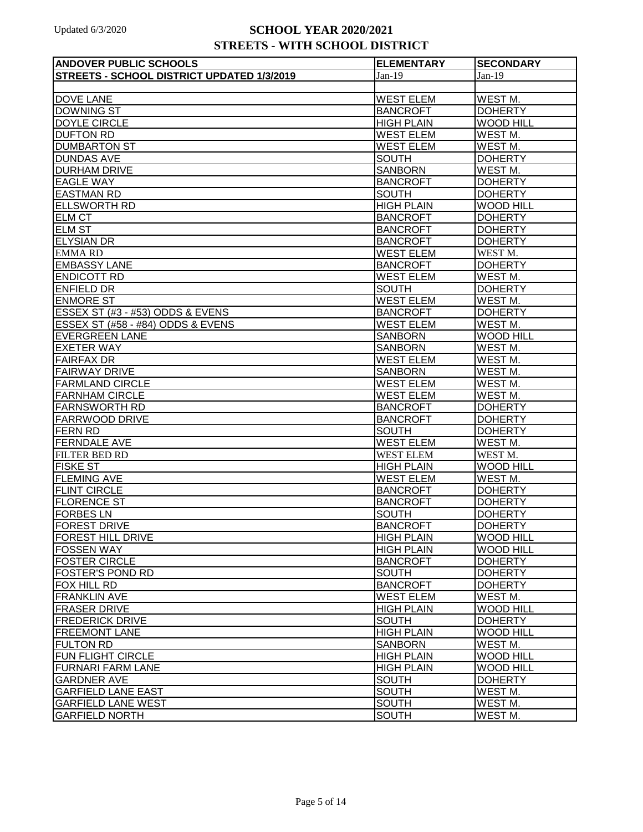| <b>ANDOVER PUBLIC SCHOOLS</b>              | <b>ELEMENTARY</b> | <b>SECONDARY</b>    |
|--------------------------------------------|-------------------|---------------------|
| STREETS - SCHOOL DISTRICT UPDATED 1/3/2019 | $Jan-19$          | $Jan-19$            |
|                                            |                   |                     |
| <b>DOVE LANE</b>                           | <b>WEST ELEM</b>  | WEST M.             |
| <b>DOWNING ST</b>                          | <b>BANCROFT</b>   | <b>DOHERTY</b>      |
| DOYLE CIRCLE                               | <b>HIGH PLAIN</b> | <b>WOOD HILL</b>    |
| <b>DUFTON RD</b>                           | <b>WEST ELEM</b>  | WEST <sub>M.</sub>  |
| <b>DUMBARTON ST</b>                        | <b>WEST ELEM</b>  | WEST <sub>M.</sub>  |
| <b>DUNDAS AVE</b>                          | <b>SOUTH</b>      | <b>DOHERTY</b>      |
| <b>DURHAM DRIVE</b>                        | <b>SANBORN</b>    | WEST M.             |
| <b>EAGLE WAY</b>                           | <b>BANCROFT</b>   | <b>DOHERTY</b>      |
| <b>EASTMAN RD</b>                          | <b>SOUTH</b>      | <b>DOHERTY</b>      |
| <b>ELLSWORTH RD</b>                        | <b>HIGH PLAIN</b> | <b>WOOD HILL</b>    |
| <b>ELM CT</b>                              | <b>BANCROFT</b>   | <b>DOHERTY</b>      |
| <b>ELM ST</b>                              | <b>BANCROFT</b>   | <b>DOHERTY</b>      |
| <b>ELYSIAN DR</b>                          | <b>BANCROFT</b>   | <b>DOHERTY</b>      |
| <b>EMMARD</b>                              | <b>WEST ELEM</b>  | WEST <sub>M</sub> . |
| <b>EMBASSY LANE</b>                        | <b>BANCROFT</b>   | <b>DOHERTY</b>      |
| <b>ENDICOTT RD</b>                         | <b>WEST ELEM</b>  | WEST <sub>M</sub> . |
| <b>ENFIELD DR</b>                          | <b>SOUTH</b>      | <b>DOHERTY</b>      |
| <b>ENMORE ST</b>                           | <b>WEST ELEM</b>  | WEST M.             |
| ESSEX ST (#3 - #53) ODDS & EVENS           | <b>BANCROFT</b>   | <b>DOHERTY</b>      |
| ESSEX ST (#58 - #84) ODDS & EVENS          | <b>WEST ELEM</b>  | WEST M.             |
| <b>EVERGREEN LANE</b>                      | <b>SANBORN</b>    | <b>WOOD HILL</b>    |
| <b>EXETER WAY</b>                          | <b>SANBORN</b>    | WEST <sub>M.</sub>  |
| <b>FAIRFAX DR</b>                          | <b>WEST ELEM</b>  | WEST <sub>M.</sub>  |
| <b>FAIRWAY DRIVE</b>                       | <b>SANBORN</b>    | WEST M.             |
| <b>FARMLAND CIRCLE</b>                     | <b>WEST ELEM</b>  | WEST M.             |
| <b>FARNHAM CIRCLE</b>                      | <b>WEST ELEM</b>  | WEST M.             |
| <b>FARNSWORTH RD</b>                       | <b>BANCROFT</b>   | <b>DOHERTY</b>      |
| <b>FARRWOOD DRIVE</b>                      | <b>BANCROFT</b>   | <b>DOHERTY</b>      |
| <b>FERN RD</b>                             | <b>SOUTH</b>      | <b>DOHERTY</b>      |
| <b>FERNDALE AVE</b>                        | <b>WEST ELEM</b>  | WEST M.             |
| <b>FILTER BED RD</b>                       | <b>WEST ELEM</b>  | WEST M.             |
| <b>FISKE ST</b>                            | <b>HIGH PLAIN</b> | <b>WOOD HILL</b>    |
| <b>FLEMING AVE</b>                         | <b>WEST ELEM</b>  | WEST <sub>M.</sub>  |
| <b>FLINT CIRCLE</b>                        | <b>BANCROFT</b>   | <b>DOHERTY</b>      |
| <b>FLORENCE ST</b>                         | <b>BANCROFT</b>   | <b>DOHERTY</b>      |
| <b>FORBES LN</b>                           | <b>SOUTH</b>      | <b>DOHERTY</b>      |
| <b>FOREST DRIVE</b>                        | <b>BANCROFT</b>   | <b>DOHERTY</b>      |
| <b>FOREST HILL DRIVE</b>                   | <b>HIGH PLAIN</b> | <b>WOOD HILL</b>    |
| <b>FOSSEN WAY</b>                          | <b>HIGH PLAIN</b> | <b>WOOD HILL</b>    |
| <b>FOSTER CIRCLE</b>                       | <b>BANCROFT</b>   | <b>DOHERTY</b>      |
| <b>FOSTER'S POND RD</b>                    | <b>SOUTH</b>      | <b>DOHERTY</b>      |
| <b>FOX HILL RD</b>                         | <b>BANCROFT</b>   | <b>DOHERTY</b>      |
| <b>FRANKLIN AVE</b>                        | <b>WEST ELEM</b>  | WEST M.             |
| <b>FRASER DRIVE</b>                        | <b>HIGH PLAIN</b> | <b>WOOD HILL</b>    |
| <b>FREDERICK DRIVE</b>                     | <b>SOUTH</b>      | <b>DOHERTY</b>      |
| <b>FREEMONT LANE</b>                       | <b>HIGH PLAIN</b> | <b>WOOD HILL</b>    |
| <b>FULTON RD</b>                           | <b>SANBORN</b>    | WEST M.             |
| <b>FUN FLIGHT CIRCLE</b>                   | <b>HIGH PLAIN</b> | <b>WOOD HILL</b>    |
| <b>FURNARI FARM LANE</b>                   | <b>HIGH PLAIN</b> | <b>WOOD HILL</b>    |
| <b>GARDNER AVE</b>                         | <b>SOUTH</b>      | <b>DOHERTY</b>      |
| <b>GARFIELD LANE EAST</b>                  | <b>SOUTH</b>      | WEST M.             |
| <b>GARFIELD LANE WEST</b>                  | <b>SOUTH</b>      | WEST <sub>M.</sub>  |
| <b>GARFIELD NORTH</b>                      | <b>SOUTH</b>      | WEST M.             |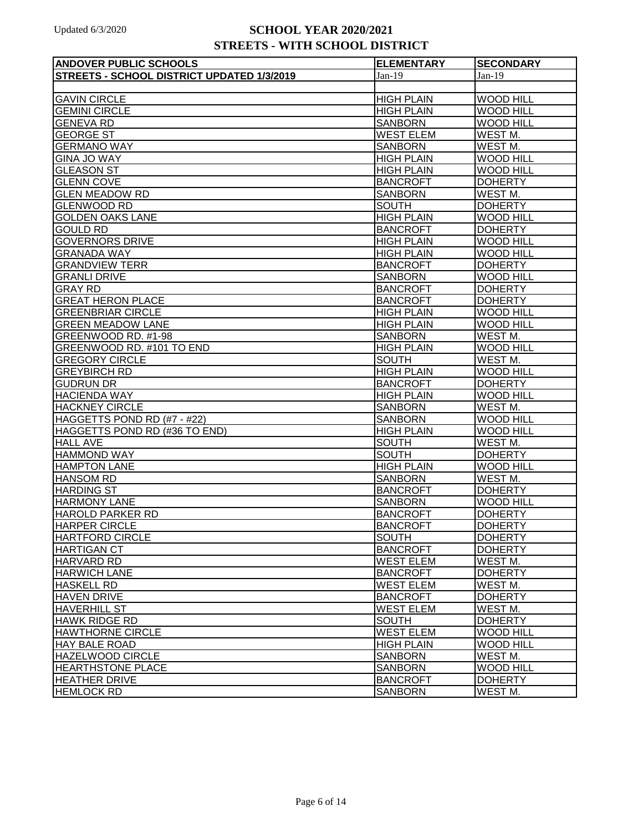| <b>ANDOVER PUBLIC SCHOOLS</b>              | <b>ELEMENTARY</b> | <b>SECONDARY</b>   |
|--------------------------------------------|-------------------|--------------------|
| STREETS - SCHOOL DISTRICT UPDATED 1/3/2019 | $Jan-19$          | $Jan-19$           |
|                                            |                   |                    |
| <b>GAVIN CIRCLE</b>                        | <b>HIGH PLAIN</b> | <b>WOOD HILL</b>   |
| <b>GEMINI CIRCLE</b>                       | <b>HIGH PLAIN</b> | <b>WOOD HILL</b>   |
| <b>GENEVA RD</b>                           | <b>SANBORN</b>    | <b>WOOD HILL</b>   |
| <b>GEORGE ST</b>                           | <b>WEST ELEM</b>  | WEST M.            |
| <b>GERMANO WAY</b>                         | <b>SANBORN</b>    | WEST M.            |
| <b>GINA JO WAY</b>                         | <b>HIGH PLAIN</b> | <b>WOOD HILL</b>   |
| <b>GLEASON ST</b>                          | <b>HIGH PLAIN</b> | <b>WOOD HILL</b>   |
| <b>GLENN COVE</b>                          | <b>BANCROFT</b>   | <b>DOHERTY</b>     |
| <b>GLEN MEADOW RD</b>                      | <b>SANBORN</b>    | WEST <sub>M.</sub> |
| <b>GLENWOOD RD</b>                         | <b>SOUTH</b>      | <b>DOHERTY</b>     |
| <b>GOLDEN OAKS LANE</b>                    | <b>HIGH PLAIN</b> | <b>WOOD HILL</b>   |
| <b>GOULD RD</b>                            | <b>BANCROFT</b>   | <b>DOHERTY</b>     |
| <b>GOVERNORS DRIVE</b>                     | <b>HIGH PLAIN</b> | <b>WOOD HILL</b>   |
| <b>GRANADA WAY</b>                         | <b>HIGH PLAIN</b> | <b>WOOD HILL</b>   |
| <b>GRANDVIEW TERR</b>                      | <b>BANCROFT</b>   | <b>DOHERTY</b>     |
| <b>GRANLI DRIVE</b>                        | <b>SANBORN</b>    | <b>WOOD HILL</b>   |
| <b>GRAY RD</b>                             | <b>BANCROFT</b>   | <b>DOHERTY</b>     |
| <b>GREAT HERON PLACE</b>                   | <b>BANCROFT</b>   | <b>DOHERTY</b>     |
| <b>GREENBRIAR CIRCLE</b>                   | <b>HIGH PLAIN</b> | <b>WOOD HILL</b>   |
| <b>GREEN MEADOW LANE</b>                   | <b>HIGH PLAIN</b> | <b>WOOD HILL</b>   |
| GREENWOOD RD. #1-98                        | <b>SANBORN</b>    | WEST <sub>M.</sub> |
| GREENWOOD RD. #101 TO END                  | <b>HIGH PLAIN</b> | <b>WOOD HILL</b>   |
| <b>GREGORY CIRCLE</b>                      | <b>SOUTH</b>      | WEST <sub>M.</sub> |
| <b>GREYBIRCH RD</b>                        | <b>HIGH PLAIN</b> | <b>WOOD HILL</b>   |
| <b>GUDRUN DR</b>                           | <b>BANCROFT</b>   | <b>DOHERTY</b>     |
| <b>HACIENDA WAY</b>                        | <b>HIGH PLAIN</b> | <b>WOOD HILL</b>   |
| <b>HACKNEY CIRCLE</b>                      | <b>SANBORN</b>    | WEST <sub>M.</sub> |
| HAGGETTS POND RD (#7 - #22)                | <b>SANBORN</b>    | <b>WOOD HILL</b>   |
| HAGGETTS POND RD (#36 TO END)              | <b>HIGH PLAIN</b> | <b>WOOD HILL</b>   |
| <b>HALL AVE</b>                            | <b>SOUTH</b>      | WEST <sub>M.</sub> |
| <b>HAMMOND WAY</b>                         | <b>SOUTH</b>      | <b>DOHERTY</b>     |
| <b>HAMPTON LANE</b>                        | <b>HIGH PLAIN</b> | <b>WOOD HILL</b>   |
| <b>HANSOM RD</b>                           | <b>SANBORN</b>    | WEST <sub>M.</sub> |
| <b>HARDING ST</b>                          | <b>BANCROFT</b>   | <b>DOHERTY</b>     |
| <b>HARMONY LANE</b>                        | <b>SANBORN</b>    | <b>WOOD HILL</b>   |
| <b>HAROLD PARKER RD</b>                    | <b>BANCROFT</b>   | <b>DOHERTY</b>     |
| <b>HARPER CIRCLE</b>                       | <b>BANCROFT</b>   | <b>DOHERTY</b>     |
| <b>HARTFORD CIRCLE</b>                     | <b>SOUTH</b>      | <b>DOHERTY</b>     |
| <b>HARTIGAN CT</b>                         | <b>BANCROFT</b>   | <b>DOHERTY</b>     |
| <b>HARVARD RD</b>                          | <b>WEST ELEM</b>  | WEST M.            |
| <b>HARWICH LANE</b>                        | <b>BANCROFT</b>   | <b>DOHERTY</b>     |
| <b>HASKELL RD</b>                          | <b>WEST ELEM</b>  | WEST M.            |
| <b>HAVEN DRIVE</b>                         | <b>BANCROFT</b>   | <b>DOHERTY</b>     |
| <b>HAVERHILL ST</b>                        | <b>WEST ELEM</b>  | WEST M.            |
| <b>HAWK RIDGE RD</b>                       | <b>SOUTH</b>      | <b>DOHERTY</b>     |
| <b>HAWTHORNE CIRCLE</b>                    | <b>WEST ELEM</b>  | <b>WOOD HILL</b>   |
| <b>HAY BALE ROAD</b>                       | <b>HIGH PLAIN</b> | <b>WOOD HILL</b>   |
| <b>HAZELWOOD CIRCLE</b>                    | <b>SANBORN</b>    | WEST M.            |
| <b>HEARTHSTONE PLACE</b>                   | <b>SANBORN</b>    | <b>WOOD HILL</b>   |
| <b>HEATHER DRIVE</b>                       | <b>BANCROFT</b>   | <b>DOHERTY</b>     |
| <b>HEMLOCK RD</b>                          | <b>SANBORN</b>    | WEST <sub>M.</sub> |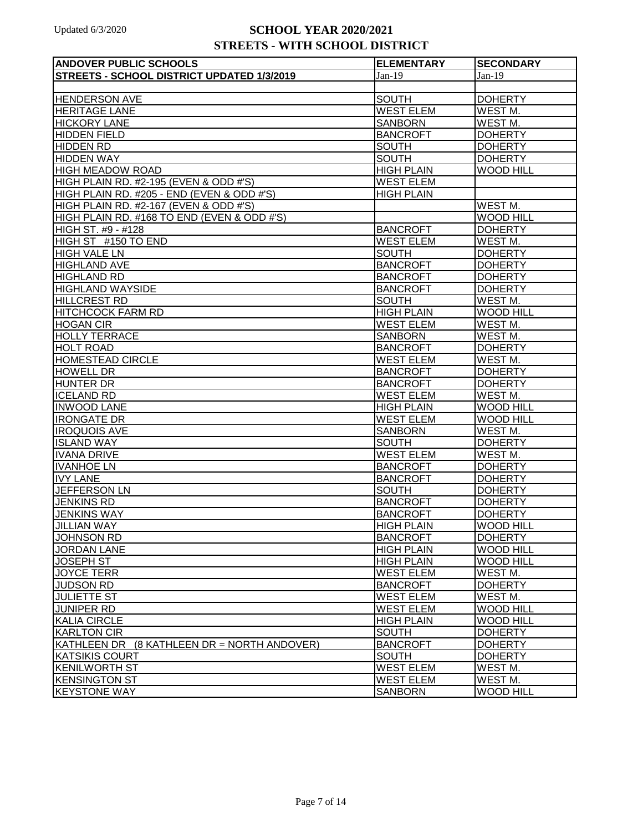| <b>ANDOVER PUBLIC SCHOOLS</b>               | <b>ELEMENTARY</b> | <b>SECONDARY</b>    |
|---------------------------------------------|-------------------|---------------------|
| STREETS - SCHOOL DISTRICT UPDATED 1/3/2019  | $Jan-19$          | $Jan-19$            |
|                                             |                   |                     |
| <b>HENDERSON AVE</b>                        | <b>SOUTH</b>      | <b>DOHERTY</b>      |
| <b>HERITAGE LANE</b>                        | <b>WEST ELEM</b>  | WEST <sub>M.</sub>  |
| <b>HICKORY LANE</b>                         | <b>SANBORN</b>    | WEST <sub>M.</sub>  |
| <b>HIDDEN FIELD</b>                         | <b>BANCROFT</b>   | <b>DOHERTY</b>      |
| <b>HIDDEN RD</b>                            | <b>SOUTH</b>      | <b>DOHERTY</b>      |
| <b>HIDDEN WAY</b>                           | <b>SOUTH</b>      | <b>DOHERTY</b>      |
| <b>HIGH MEADOW ROAD</b>                     | <b>HIGH PLAIN</b> | <b>WOOD HILL</b>    |
| HIGH PLAIN RD. #2-195 (EVEN & ODD #'S)      | <b>WEST ELEM</b>  |                     |
| HIGH PLAIN RD. #205 - END (EVEN & ODD #'S)  | <b>HIGH PLAIN</b> |                     |
| HIGH PLAIN RD. #2-167 (EVEN & ODD #'S)      |                   | WEST M.             |
| HIGH PLAIN RD. #168 TO END (EVEN & ODD #'S) |                   | <b>WOOD HILL</b>    |
| HIGH ST. #9 - #128                          | <b>BANCROFT</b>   | <b>DOHERTY</b>      |
| HIGH ST #150 TO END                         | <b>WEST ELEM</b>  | WEST <sub>M.</sub>  |
| <b>HIGH VALE LN</b>                         | <b>SOUTH</b>      | <b>DOHERTY</b>      |
| <b>HIGHLAND AVE</b>                         | <b>BANCROFT</b>   | <b>DOHERTY</b>      |
| <b>HIGHLAND RD</b>                          | <b>BANCROFT</b>   | <b>DOHERTY</b>      |
| <b>HIGHLAND WAYSIDE</b>                     | <b>BANCROFT</b>   | <b>DOHERTY</b>      |
| <b>HILLCREST RD</b>                         | <b>SOUTH</b>      | WEST M.             |
| <b>HITCHCOCK FARM RD</b>                    | <b>HIGH PLAIN</b> | <b>WOOD HILL</b>    |
| <b>HOGAN CIR</b>                            | <b>WEST ELEM</b>  | WEST M.             |
| <b>HOLLY TERRACE</b>                        | <b>SANBORN</b>    | WEST <sub>M.</sub>  |
| <b>HOLT ROAD</b>                            | <b>BANCROFT</b>   | <b>DOHERTY</b>      |
| <b>HOMESTEAD CIRCLE</b>                     | <b>WEST ELEM</b>  | WEST M.             |
| <b>HOWELL DR</b>                            | <b>BANCROFT</b>   | <b>DOHERTY</b>      |
| <b>HUNTER DR</b>                            | <b>BANCROFT</b>   | <b>DOHERTY</b>      |
| <b>ICELAND RD</b>                           | <b>WEST ELEM</b>  | WEST <sub>M.</sub>  |
| <b>INWOOD LANE</b>                          | <b>HIGH PLAIN</b> | <b>WOOD HILL</b>    |
| <b>IRONGATE DR</b>                          | <b>WEST ELEM</b>  | <b>WOOD HILL</b>    |
| <b>IROQUOIS AVE</b>                         | <b>SANBORN</b>    | WEST M.             |
| <b>ISLAND WAY</b>                           | <b>SOUTH</b>      | <b>DOHERTY</b>      |
| <b>IVANA DRIVE</b>                          | <b>WEST ELEM</b>  | WEST M.             |
| <b>IVANHOE LN</b>                           | <b>BANCROFT</b>   | <b>DOHERTY</b>      |
| <b>IVY LANE</b>                             | <b>BANCROFT</b>   | <b>DOHERTY</b>      |
| <b>JEFFERSON LN</b>                         | <b>SOUTH</b>      | <b>DOHERTY</b>      |
| <b>JENKINS RD</b>                           | <b>BANCROFT</b>   | <b>DOHERTY</b>      |
| <b>JENKINS WAY</b>                          | <b>BANCROFT</b>   | <b>DOHERTY</b>      |
| <b>JILLIAN WAY</b>                          | <b>HIGH PLAIN</b> | <b>WOOD HILL</b>    |
| <b>JOHNSON RD</b>                           | <b>BANCROFT</b>   | <b>DOHERTY</b>      |
| <b>JORDAN LANE</b>                          | <b>HIGH PLAIN</b> | <b>WOOD HILL</b>    |
| <b>JOSEPH ST</b>                            | <b>HIGH PLAIN</b> | <b>WOOD HILL</b>    |
| JOYCE TERR                                  | <b>WEST ELEM</b>  | WEST M.             |
| <b>JUDSON RD</b>                            | <b>BANCROFT</b>   | <b>DOHERTY</b>      |
| <b>JULIETTE ST</b>                          | <b>WEST ELEM</b>  | WEST M.             |
| <b>JUNIPER RD</b>                           | <b>WEST ELEM</b>  | <b>WOOD HILL</b>    |
| <b>KALIA CIRCLE</b>                         | <b>HIGH PLAIN</b> | <b>WOOD HILL</b>    |
| <b>KARLTON CIR</b>                          | <b>SOUTH</b>      | <b>DOHERTY</b>      |
| KATHLEEN DR (8 KATHLEEN DR = NORTH ANDOVER) | <b>BANCROFT</b>   | <b>DOHERTY</b>      |
| <b>KATSIKIS COURT</b>                       | <b>SOUTH</b>      | <b>DOHERTY</b>      |
| KENILWORTH ST                               | <b>WEST ELEM</b>  | WEST <sub>M</sub> . |
| <b>KENSINGTON ST</b>                        | <b>WEST ELEM</b>  | WEST M.             |
| <b>KEYSTONE WAY</b>                         | <b>SANBORN</b>    | <b>WOOD HILL</b>    |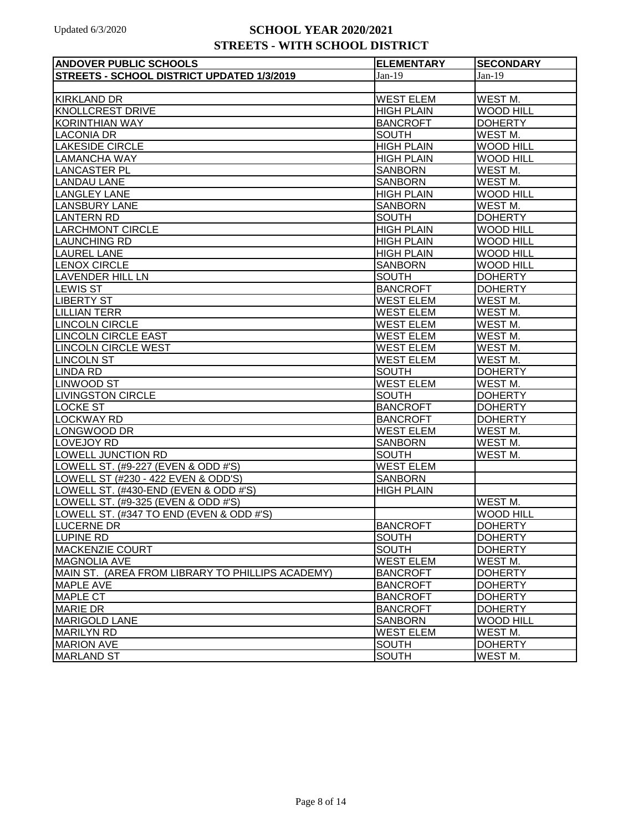| <b>ANDOVER PUBLIC SCHOOLS</b>                    | <b>ELEMENTARY</b> | <b>SECONDARY</b>    |
|--------------------------------------------------|-------------------|---------------------|
| STREETS - SCHOOL DISTRICT UPDATED 1/3/2019       | $Jan-19$          | $Jan-19$            |
|                                                  |                   |                     |
| <b>KIRKLAND DR</b>                               | <b>WEST ELEM</b>  | WEST <sub>M.</sub>  |
| KNOLLCREST DRIVE                                 | <b>HIGH PLAIN</b> | <b>WOOD HILL</b>    |
| <b>KORINTHIAN WAY</b>                            | <b>BANCROFT</b>   | <b>DOHERTY</b>      |
| <b>LACONIA DR</b>                                | <b>SOUTH</b>      | WEST M.             |
| <b>LAKESIDE CIRCLE</b>                           | <b>HIGH PLAIN</b> | <b>WOOD HILL</b>    |
| <b>LAMANCHA WAY</b>                              | <b>HIGH PLAIN</b> | <b>WOOD HILL</b>    |
| <b>LANCASTER PL</b>                              | <b>SANBORN</b>    | WEST <sub>M.</sub>  |
| <b>LANDAU LANE</b>                               | <b>SANBORN</b>    | WEST M.             |
| <b>LANGLEY LANE</b>                              | <b>HIGH PLAIN</b> | <b>WOOD HILL</b>    |
| <b>LANSBURY LANE</b>                             | <b>SANBORN</b>    | WEST M.             |
| <b>LANTERN RD</b>                                | <b>SOUTH</b>      | <b>DOHERTY</b>      |
| <b>LARCHMONT CIRCLE</b>                          | <b>HIGH PLAIN</b> | <b>WOOD HILL</b>    |
| <b>LAUNCHING RD</b>                              | <b>HIGH PLAIN</b> | <b>WOOD HILL</b>    |
| <b>LAUREL LANE</b>                               | <b>HIGH PLAIN</b> | <b>WOOD HILL</b>    |
| <b>LENOX CIRCLE</b>                              | <b>SANBORN</b>    | <b>WOOD HILL</b>    |
| <b>LAVENDER HILL LN</b>                          | <b>SOUTH</b>      | <b>DOHERTY</b>      |
| <b>LEWIS ST</b>                                  | <b>BANCROFT</b>   | <b>DOHERTY</b>      |
| <b>LIBERTY ST</b>                                | <b>WEST ELEM</b>  | WEST <sub>M</sub> . |
| <b>LILLIAN TERR</b>                              | <b>WEST ELEM</b>  | WEST <sub>M</sub> . |
| <b>LINCOLN CIRCLE</b>                            | <b>WEST ELEM</b>  | WEST <sub>M.</sub>  |
| <b>LINCOLN CIRCLE EAST</b>                       | <b>WEST ELEM</b>  | WEST <sub>M.</sub>  |
| <b>LINCOLN CIRCLE WEST</b>                       | <b>WEST ELEM</b>  | WEST <sub>M.</sub>  |
| <b>LINCOLN ST</b>                                | <b>WEST ELEM</b>  | WEST M.             |
| <b>LINDA RD</b>                                  | <b>SOUTH</b>      | <b>DOHERTY</b>      |
| <b>LINWOOD ST</b>                                | <b>WEST ELEM</b>  | WEST M.             |
| <b>LIVINGSTON CIRCLE</b>                         | <b>SOUTH</b>      | <b>DOHERTY</b>      |
| <b>LOCKE ST</b>                                  | <b>BANCROFT</b>   | <b>DOHERTY</b>      |
| <b>LOCKWAY RD</b>                                | <b>BANCROFT</b>   | <b>DOHERTY</b>      |
| LONGWOOD DR                                      | <b>WEST ELEM</b>  | WEST M.             |
| LOVEJOY RD                                       | <b>SANBORN</b>    | WEST M.             |
| LOWELL JUNCTION RD                               | <b>SOUTH</b>      | WEST <sub>M.</sub>  |
| LOWELL ST. (#9-227 (EVEN & ODD #'S)              | <b>WEST ELEM</b>  |                     |
| LOWELL ST (#230 - 422 EVEN & ODD'S)              | <b>SANBORN</b>    |                     |
| LOWELL ST. (#430-END (EVEN & ODD #'S)            | <b>HIGH PLAIN</b> |                     |
| LOWELL ST. (#9-325 (EVEN & ODD #'S)              |                   | WEST M.             |
| LOWELL ST. (#347 TO END (EVEN & ODD #'S)         |                   | <b>WOOD HILL</b>    |
| <b>LUCERNE DR</b>                                | <b>BANCROFT</b>   | <b>DOHERTY</b>      |
| LUPINE RD                                        | <b>SOUTH</b>      | <b>DOHERTY</b>      |
| <b>MACKENZIE COURT</b>                           | <b>SOUTH</b>      | <b>DOHERTY</b>      |
| <b>MAGNOLIA AVE</b>                              | <b>WEST ELEM</b>  | WEST M.             |
| MAIN ST. (AREA FROM LIBRARY TO PHILLIPS ACADEMY) | <b>BANCROFT</b>   | <b>DOHERTY</b>      |
| MAPLE AVE                                        | <b>BANCROFT</b>   | <b>DOHERTY</b>      |
| <b>MAPLE CT</b>                                  | <b>BANCROFT</b>   | <b>DOHERTY</b>      |
| <b>MARIE DR</b>                                  | <b>BANCROFT</b>   | <b>DOHERTY</b>      |
| <b>MARIGOLD LANE</b>                             | <b>SANBORN</b>    | <b>WOOD HILL</b>    |
| MARILYN RD                                       | <b>WEST ELEM</b>  | WEST M.             |
| <b>MARION AVE</b>                                | <b>SOUTH</b>      | <b>DOHERTY</b>      |
| <b>MARLAND ST</b>                                | <b>SOUTH</b>      | WEST M.             |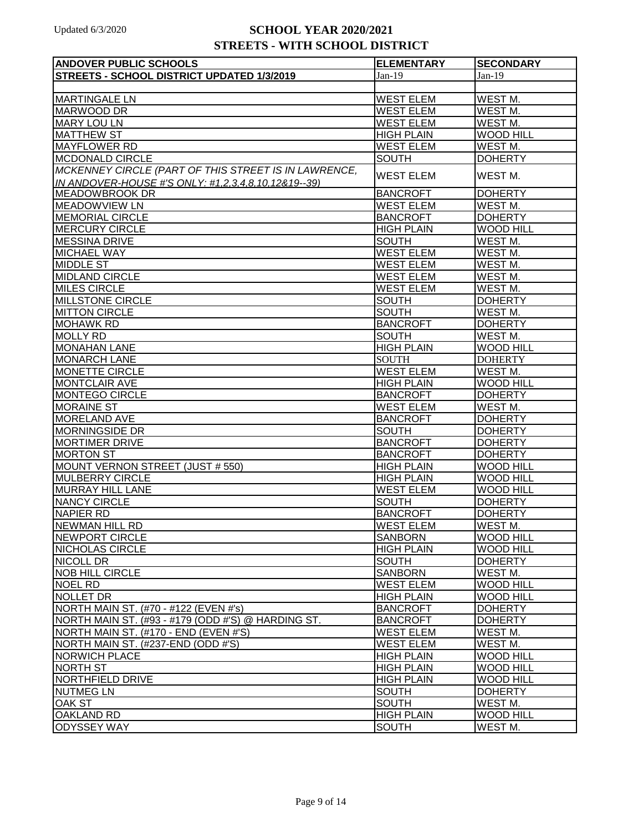| <b>ANDOVER PUBLIC SCHOOLS</b>                                                               | <b>ELEMENTARY</b>                   | <b>SECONDARY</b>                   |
|---------------------------------------------------------------------------------------------|-------------------------------------|------------------------------------|
| STREETS - SCHOOL DISTRICT UPDATED 1/3/2019                                                  | $Jan-19$                            | $Jan-19$                           |
|                                                                                             |                                     |                                    |
| <b>MARTINGALE LN</b>                                                                        | <b>WEST ELEM</b>                    | WEST M.                            |
| <b>MARWOOD DR</b>                                                                           | <b>WEST ELEM</b>                    | WEST <sub>M.</sub>                 |
| <b>MARY LOU LN</b>                                                                          | <b>WEST ELEM</b>                    | WEST M.                            |
| <b>MATTHEW ST</b>                                                                           | <b>HIGH PLAIN</b>                   | <b>WOOD HILL</b>                   |
| <b>MAYFLOWER RD</b>                                                                         | <b>WEST ELEM</b>                    | WEST <sub>M.</sub>                 |
| <b>MCDONALD CIRCLE</b>                                                                      | <b>SOUTH</b>                        | <b>DOHERTY</b>                     |
| MCKENNEY CIRCLE (PART OF THIS STREET IS IN LAWRENCE,                                        | <b>WEST ELEM</b>                    | WEST <sub>M</sub> .                |
| IN ANDOVER-HOUSE #'S ONLY: #1,2,3,4,8,10,12&19--39)                                         |                                     |                                    |
| <b>MEADOWBROOK DR</b>                                                                       | <b>BANCROFT</b>                     | <b>DOHERTY</b>                     |
| <b>MEADOWVIEW LN</b>                                                                        | <b>WEST ELEM</b>                    | WEST M.                            |
| <b>MEMORIAL CIRCLE</b>                                                                      | <b>BANCROFT</b>                     | <b>DOHERTY</b>                     |
| <b>MERCURY CIRCLE</b>                                                                       | <b>HIGH PLAIN</b>                   | <b>WOOD HILL</b>                   |
| <b>MESSINA DRIVE</b>                                                                        | <b>SOUTH</b>                        | WEST <sub>M.</sub>                 |
| <b>MICHAEL WAY</b>                                                                          | <b>WEST ELEM</b>                    | WEST <sub>M.</sub>                 |
| <b>MIDDLE ST</b>                                                                            | <b>WEST ELEM</b>                    | WEST <sub>M</sub> .                |
| <b>MIDLAND CIRCLE</b>                                                                       | <b>WEST ELEM</b>                    | WEST <sub>M.</sub>                 |
| <b>MILES CIRCLE</b>                                                                         | <b>WEST ELEM</b>                    | WEST <sub>M.</sub>                 |
| <b>MILLSTONE CIRCLE</b>                                                                     | <b>SOUTH</b>                        | <b>DOHERTY</b>                     |
| <b>MITTON CIRCLE</b>                                                                        | <b>SOUTH</b>                        | WEST M.                            |
| <b>MOHAWK RD</b>                                                                            | <b>BANCROFT</b>                     | <b>DOHERTY</b>                     |
| <b>MOLLY RD</b>                                                                             | <b>SOUTH</b>                        | WEST M.                            |
| <b>MONAHAN LANE</b>                                                                         | <b>HIGH PLAIN</b>                   | <b>WOOD HILL</b>                   |
| <b>MONARCH LANE</b>                                                                         | <b>SOUTH</b>                        | <b>DOHERTY</b>                     |
| <b>MONETTE CIRCLE</b>                                                                       | <b>WEST ELEM</b>                    | WEST M.                            |
| <b>MONTCLAIR AVE</b>                                                                        | <b>HIGH PLAIN</b>                   | <b>WOOD HILL</b>                   |
| MONTEGO CIRCLE                                                                              | <b>BANCROFT</b>                     | <b>DOHERTY</b>                     |
| <b>MORAINE ST</b>                                                                           | <b>WEST ELEM</b>                    | WEST <sub>M.</sub>                 |
| <b>MORELAND AVE</b>                                                                         | <b>BANCROFT</b>                     | <b>DOHERTY</b>                     |
| <b>MORNINGSIDE DR</b>                                                                       | <b>SOUTH</b>                        | <b>DOHERTY</b>                     |
| <b>MORTIMER DRIVE</b>                                                                       | <b>BANCROFT</b>                     | <b>DOHERTY</b>                     |
| <b>MORTON ST</b>                                                                            | <b>BANCROFT</b>                     | <b>DOHERTY</b>                     |
| MOUNT VERNON STREET (JUST # 550)                                                            | <b>HIGH PLAIN</b>                   | <b>WOOD HILL</b>                   |
| <b>MULBERRY CIRCLE</b>                                                                      | <b>HIGH PLAIN</b>                   | <b>WOOD HILL</b>                   |
| <b>MURRAY HILL LANE</b>                                                                     | <b>WEST ELEM</b>                    | <b>WOOD HILL</b>                   |
| <b>NANCY CIRCLE</b>                                                                         | SOUTH                               | <b>DOHERTY</b>                     |
| NAPIER RD                                                                                   | <b>BANCROFT</b><br><b>WEST ELEM</b> | <b>DOHERTY</b>                     |
| NEWMAN HILL RD                                                                              |                                     | WEST M.                            |
| NEWPORT CIRCLE                                                                              | <b>SANBORN</b><br><b>HIGH PLAIN</b> | <b>WOOD HILL</b>                   |
| NICHOLAS CIRCLE<br>NICOLL DR                                                                | <b>SOUTH</b>                        | <b>WOOD HILL</b><br><b>DOHERTY</b> |
| NOB HILL CIRCLE                                                                             |                                     | WEST <sub>M.</sub>                 |
| NOEL RD                                                                                     | <b>SANBORN</b><br><b>WEST ELEM</b>  |                                    |
| NOLLET DR                                                                                   |                                     | <b>WOOD HILL</b>                   |
| NORTH MAIN ST. (#70 - #122 (EVEN #'s)                                                       | <b>HIGH PLAIN</b>                   | <b>WOOD HILL</b><br><b>DOHERTY</b> |
|                                                                                             | <b>BANCROFT</b>                     | <b>DOHERTY</b>                     |
| NORTH MAIN ST. (#93 - #179 (ODD #'S) @ HARDING ST.<br>NORTH MAIN ST. (#170 - END (EVEN #'S) | <b>BANCROFT</b><br><b>WEST ELEM</b> | WEST M.                            |
| <b>NORTH MAIN ST. (#237-END (ODD #'S)</b>                                                   | <b>WEST ELEM</b>                    | WEST M.                            |
| <b>NORWICH PLACE</b>                                                                        | <b>HIGH PLAIN</b>                   | <b>WOOD HILL</b>                   |
| <b>NORTH ST</b>                                                                             | <b>HIGH PLAIN</b>                   | <b>WOOD HILL</b>                   |
| NORTHFIELD DRIVE                                                                            | <b>HIGH PLAIN</b>                   | <b>WOOD HILL</b>                   |
| <b>NUTMEG LN</b>                                                                            | <b>SOUTH</b>                        | <b>DOHERTY</b>                     |
| <b>OAK ST</b>                                                                               | <b>SOUTH</b>                        | WEST M.                            |
| <b>OAKLAND RD</b>                                                                           | <b>HIGH PLAIN</b>                   | <b>WOOD HILL</b>                   |
| <b>ODYSSEY WAY</b>                                                                          | <b>SOUTH</b>                        | WEST M.                            |
|                                                                                             |                                     |                                    |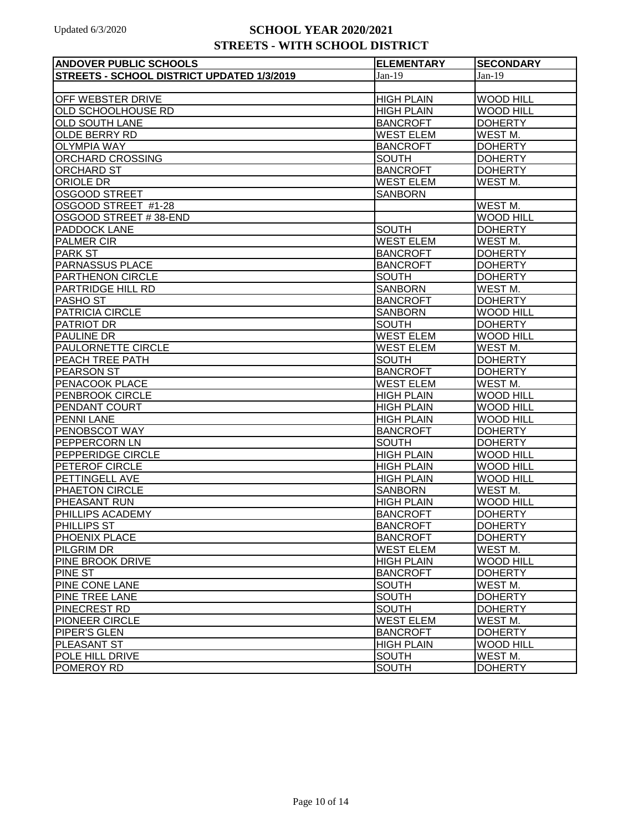| <b>ANDOVER PUBLIC SCHOOLS</b>              | <b>ELEMENTARY</b> | <b>SECONDARY</b>    |
|--------------------------------------------|-------------------|---------------------|
| STREETS - SCHOOL DISTRICT UPDATED 1/3/2019 | $Jan-19$          | $Jan-19$            |
|                                            |                   |                     |
| OFF WEBSTER DRIVE                          | <b>HIGH PLAIN</b> | <b>WOOD HILL</b>    |
| OLD SCHOOLHOUSE RD                         | <b>HIGH PLAIN</b> | <b>WOOD HILL</b>    |
| <b>OLD SOUTH LANE</b>                      | <b>BANCROFT</b>   | <b>DOHERTY</b>      |
| <b>OLDE BERRY RD</b>                       | <b>WEST ELEM</b>  | WEST <sub>M.</sub>  |
| <b>OLYMPIA WAY</b>                         | <b>BANCROFT</b>   | <b>DOHERTY</b>      |
| ORCHARD CROSSING                           | <b>SOUTH</b>      | <b>DOHERTY</b>      |
| <b>ORCHARD ST</b>                          | <b>BANCROFT</b>   | <b>DOHERTY</b>      |
| ORIOLE DR                                  | <b>WEST ELEM</b>  | WEST <sub>M</sub> . |
| <b>OSGOOD STREET</b>                       | <b>SANBORN</b>    |                     |
| OSGOOD STREET #1-28                        |                   | WEST M.             |
| OSGOOD STREET #38-END                      |                   | <b>WOOD HILL</b>    |
| PADDOCK LANE                               | <b>SOUTH</b>      | <b>DOHERTY</b>      |
| <b>PALMER CIR</b>                          | <b>WEST ELEM</b>  | WEST <sub>M.</sub>  |
| <b>PARK ST</b>                             | <b>BANCROFT</b>   | <b>DOHERTY</b>      |
| <b>PARNASSUS PLACE</b>                     | <b>BANCROFT</b>   | <b>DOHERTY</b>      |
| PARTHENON CIRCLE                           | <b>SOUTH</b>      | <b>DOHERTY</b>      |
| PARTRIDGE HILL RD                          | <b>SANBORN</b>    | WEST M.             |
| PASHO ST                                   | <b>BANCROFT</b>   | <b>DOHERTY</b>      |
| PATRICIA CIRCLE                            | <b>SANBORN</b>    | <b>WOOD HILL</b>    |
| PATRIOT DR                                 | <b>SOUTH</b>      | <b>DOHERTY</b>      |
| <b>PAULINE DR</b>                          | <b>WEST ELEM</b>  | <b>WOOD HILL</b>    |
| PAULORNETTE CIRCLE                         | <b>WEST ELEM</b>  | WEST M.             |
| PEACH TREE PATH                            | <b>SOUTH</b>      | <b>DOHERTY</b>      |
| <b>PEARSON ST</b>                          | <b>BANCROFT</b>   | <b>DOHERTY</b>      |
| PENACOOK PLACE                             | <b>WEST ELEM</b>  | WEST M.             |
| PENBROOK CIRCLE                            | <b>HIGH PLAIN</b> | <b>WOOD HILL</b>    |
| PENDANT COURT                              | <b>HIGH PLAIN</b> | <b>WOOD HILL</b>    |
| <b>PENNI LANE</b>                          | <b>HIGH PLAIN</b> | <b>WOOD HILL</b>    |
| PENOBSCOT WAY                              | <b>BANCROFT</b>   | <b>DOHERTY</b>      |
| <b>PEPPERCORN LN</b>                       | <b>SOUTH</b>      | <b>DOHERTY</b>      |
| PEPPERIDGE CIRCLE                          | <b>HIGH PLAIN</b> | <b>WOOD HILL</b>    |
| PETEROF CIRCLE                             | <b>HIGH PLAIN</b> | <b>WOOD HILL</b>    |
| PETTINGELL AVE                             | <b>HIGH PLAIN</b> | <b>WOOD HILL</b>    |
| PHAETON CIRCLE                             | <b>SANBORN</b>    | WEST <sub>M.</sub>  |
| PHEASANT RUN                               | <b>HIGH PLAIN</b> | <b>WOOD HILL</b>    |
| <b>PHILLIPS ACADEMY</b>                    | <b>BANCROFT</b>   | <b>DOHERTY</b>      |
| <b>PHILLIPS ST</b>                         | <b>BANCROFT</b>   | <b>DOHERTY</b>      |
| <b>PHOENIX PLACE</b>                       | <b>BANCROFT</b>   | <b>DOHERTY</b>      |
| <b>PILGRIM DR</b>                          | <b>WEST ELEM</b>  | WEST M.             |
| <b>PINE BROOK DRIVE</b>                    | <b>HIGH PLAIN</b> | <b>WOOD HILL</b>    |
| <b>PINE ST</b>                             | <b>BANCROFT</b>   | <b>DOHERTY</b>      |
| <b>PINE CONE LANE</b>                      | <b>SOUTH</b>      | WEST M.             |
| PINE TREE LANE                             | <b>SOUTH</b>      | <b>DOHERTY</b>      |
| <b>PINECREST RD</b>                        | <b>SOUTH</b>      | <b>DOHERTY</b>      |
| <b>PIONEER CIRCLE</b>                      | <b>WEST ELEM</b>  | WEST M.             |
| <b>PIPER'S GLEN</b>                        | <b>BANCROFT</b>   | <b>DOHERTY</b>      |
| PLEASANT ST                                | <b>HIGH PLAIN</b> | <b>WOOD HILL</b>    |
| POLE HILL DRIVE                            | <b>SOUTH</b>      | WEST <sub>M.</sub>  |
| <b>POMEROY RD</b>                          | <b>SOUTH</b>      | <b>DOHERTY</b>      |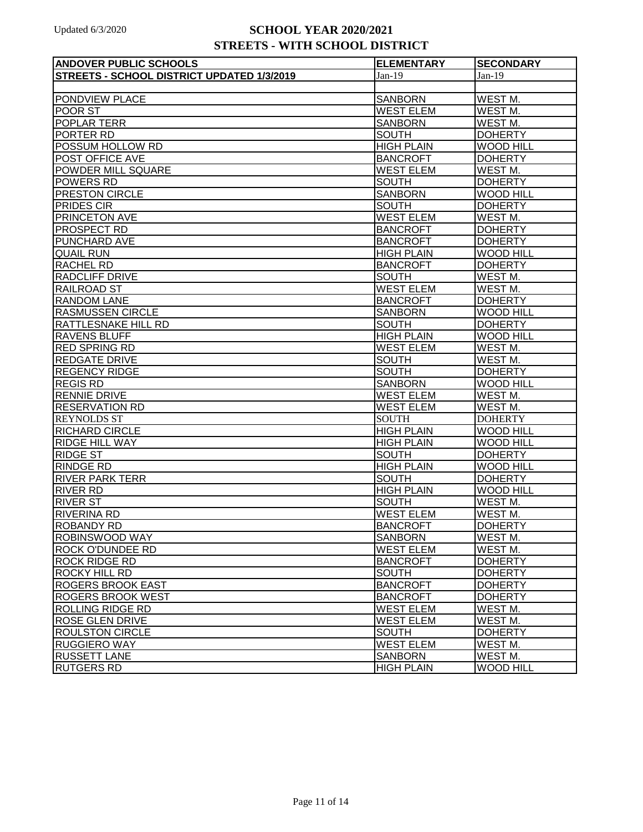| <b>ANDOVER PUBLIC SCHOOLS</b>              | <b>ELEMENTARY</b> | <b>SECONDARY</b>    |
|--------------------------------------------|-------------------|---------------------|
| STREETS - SCHOOL DISTRICT UPDATED 1/3/2019 | $Jan-19$          | $Jan-19$            |
|                                            |                   |                     |
| PONDVIEW PLACE                             | <b>SANBORN</b>    | WEST <sub>M.</sub>  |
| POOR ST                                    | <b>WEST ELEM</b>  | WEST <sub>M.</sub>  |
| POPLAR TERR                                | <b>SANBORN</b>    | WEST M.             |
| PORTER RD                                  | <b>SOUTH</b>      | <b>DOHERTY</b>      |
| POSSUM HOLLOW RD                           | <b>HIGH PLAIN</b> | <b>WOOD HILL</b>    |
| POST OFFICE AVE                            | <b>BANCROFT</b>   | <b>DOHERTY</b>      |
| POWDER MILL SQUARE                         | <b>WEST ELEM</b>  | WEST <sub>M.</sub>  |
| <b>POWERS RD</b>                           | <b>SOUTH</b>      | <b>DOHERTY</b>      |
| PRESTON CIRCLE                             | <b>SANBORN</b>    | <b>WOOD HILL</b>    |
| <b>PRIDES CIR</b>                          | <b>SOUTH</b>      | <b>DOHERTY</b>      |
| PRINCETON AVE                              | <b>WEST ELEM</b>  | WEST M.             |
| PROSPECT RD                                | <b>BANCROFT</b>   | <b>DOHERTY</b>      |
| PUNCHARD AVE                               | <b>BANCROFT</b>   | <b>DOHERTY</b>      |
| <b>QUAIL RUN</b>                           | <b>HIGH PLAIN</b> | <b>WOOD HILL</b>    |
| <b>RACHEL RD</b>                           | <b>BANCROFT</b>   | <b>DOHERTY</b>      |
| <b>RADCLIFF DRIVE</b>                      | <b>SOUTH</b>      | <b>WEST M.</b>      |
| <b>RAILROAD ST</b>                         | <b>WEST ELEM</b>  | WEST M.             |
| <b>RANDOM LANE</b>                         | <b>BANCROFT</b>   | <b>DOHERTY</b>      |
| <b>RASMUSSEN CIRCLE</b>                    | <b>SANBORN</b>    | <b>WOOD HILL</b>    |
| <b>RATTLESNAKE HILL RD</b>                 | <b>SOUTH</b>      | <b>DOHERTY</b>      |
| <b>RAVENS BLUFF</b>                        | <b>HIGH PLAIN</b> | <b>WOOD HILL</b>    |
| <b>RED SPRING RD</b>                       | <b>WEST ELEM</b>  | WEST <sub>M</sub> . |
| <b>REDGATE DRIVE</b>                       | <b>SOUTH</b>      | WEST M.             |
| <b>REGENCY RIDGE</b>                       | <b>SOUTH</b>      | <b>DOHERTY</b>      |
| <b>REGIS RD</b>                            | <b>SANBORN</b>    | <b>WOOD HILL</b>    |
| <b>RENNIE DRIVE</b>                        | <b>WEST ELEM</b>  | WEST <sub>M.</sub>  |
| <b>RESERVATION RD</b>                      | <b>WEST ELEM</b>  | WEST M.             |
| <b>REYNOLDS ST</b>                         | <b>SOUTH</b>      | <b>DOHERTY</b>      |
| <b>RICHARD CIRCLE</b>                      | <b>HIGH PLAIN</b> | <b>WOOD HILL</b>    |
| <b>RIDGE HILL WAY</b>                      | <b>HIGH PLAIN</b> | <b>WOOD HILL</b>    |
| <b>RIDGE ST</b>                            | <b>SOUTH</b>      | <b>DOHERTY</b>      |
| <b>RINDGE RD</b>                           | <b>HIGH PLAIN</b> | <b>WOOD HILL</b>    |
| <b>RIVER PARK TERR</b>                     | <b>SOUTH</b>      | <b>DOHERTY</b>      |
| <b>RIVER RD</b>                            | <b>HIGH PLAIN</b> | <b>WOOD HILL</b>    |
| <b>RIVER ST</b>                            | <b>SOUTH</b>      | WEST <sub>M.</sub>  |
| <b>RIVERINA RD</b>                         | <b>WEST ELEM</b>  | WEST M.             |
| <b>ROBANDY RD</b>                          | <b>BANCROFT</b>   | <b>DOHERTY</b>      |
| ROBINSWOOD WAY                             | SANBORN           | WEST M.             |
| <b>ROCK O'DUNDEE RD</b>                    | <b>WEST ELEM</b>  | WEST M.             |
| <b>ROCK RIDGE RD</b>                       | <b>BANCROFT</b>   | <b>DOHERTY</b>      |
| <b>ROCKY HILL RD</b>                       | <b>SOUTH</b>      | <b>DOHERTY</b>      |
| <b>ROGERS BROOK EAST</b>                   | <b>BANCROFT</b>   | <b>DOHERTY</b>      |
| <b>ROGERS BROOK WEST</b>                   | <b>BANCROFT</b>   | <b>DOHERTY</b>      |
| <b>ROLLING RIDGE RD</b>                    | <b>WEST ELEM</b>  | WEST M.             |
| <b>ROSE GLEN DRIVE</b>                     | <b>WEST ELEM</b>  | WEST <sub>M.</sub>  |
| <b>ROULSTON CIRCLE</b>                     | <b>SOUTH</b>      | <b>DOHERTY</b>      |
| <b>RUGGIERO WAY</b>                        | <b>WEST ELEM</b>  | WEST M.             |
| <b>RUSSETT LANE</b>                        | <b>SANBORN</b>    | WEST M.             |
| <b>RUTGERS RD</b>                          | <b>HIGH PLAIN</b> | <b>WOOD HILL</b>    |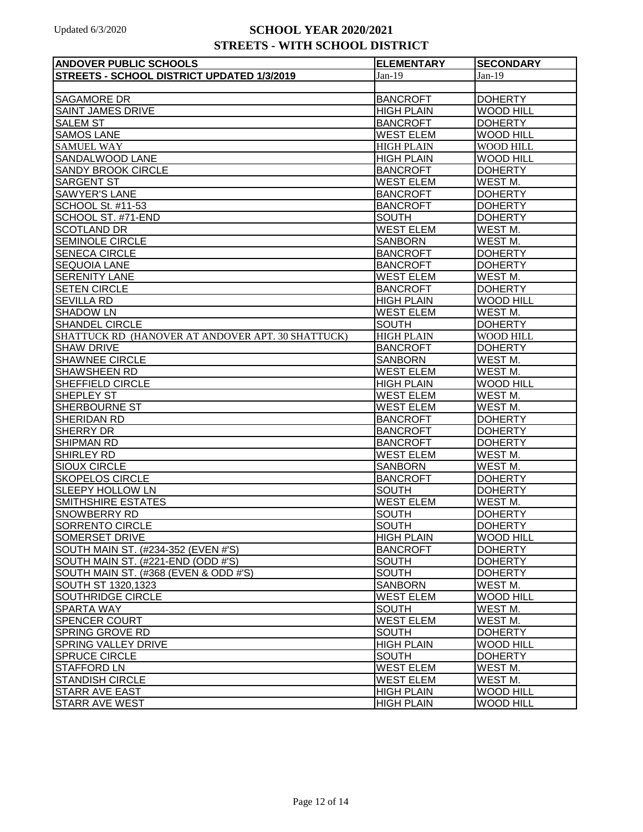| <b>ANDOVER PUBLIC SCHOOLS</b>                     | <b>ELEMENTARY</b> | <b>SECONDARY</b>    |
|---------------------------------------------------|-------------------|---------------------|
| STREETS - SCHOOL DISTRICT UPDATED 1/3/2019        | $Jan-19$          | $Jan-19$            |
|                                                   |                   |                     |
| <b>SAGAMORE DR</b>                                | <b>BANCROFT</b>   | <b>DOHERTY</b>      |
| <b>SAINT JAMES DRIVE</b>                          | <b>HIGH PLAIN</b> | <b>WOOD HILL</b>    |
| <b>SALEM ST</b>                                   | <b>BANCROFT</b>   | <b>DOHERTY</b>      |
| <b>SAMOS LANE</b>                                 | <b>WEST ELEM</b>  | <b>WOOD HILL</b>    |
| <b>SAMUEL WAY</b>                                 | <b>HIGH PLAIN</b> | WOOD HILL           |
| SANDALWOOD LANE                                   | <b>HIGH PLAIN</b> | <b>WOOD HILL</b>    |
| SANDY BROOK CIRCLE                                | <b>BANCROFT</b>   | <b>DOHERTY</b>      |
| <b>SARGENT ST</b>                                 | <b>WEST ELEM</b>  | WEST M.             |
| <b>SAWYER'S LANE</b>                              | <b>BANCROFT</b>   | <b>DOHERTY</b>      |
| <b>SCHOOL St. #11-53</b>                          | <b>BANCROFT</b>   | <b>DOHERTY</b>      |
| SCHOOL ST. #71-END                                | <b>SOUTH</b>      | <b>DOHERTY</b>      |
| <b>SCOTLAND DR</b>                                | <b>WEST ELEM</b>  | WEST <sub>M.</sub>  |
| <b>SEMINOLE CIRCLE</b>                            | <b>SANBORN</b>    | WEST <sub>M.</sub>  |
| <b>SENECA CIRCLE</b>                              | <b>BANCROFT</b>   | <b>DOHERTY</b>      |
| <b>SEQUOIA LANE</b>                               | <b>BANCROFT</b>   | <b>DOHERTY</b>      |
| <b>SERENITY LANE</b>                              | <b>WEST ELEM</b>  | WEST <sub>M.</sub>  |
| <b>SETEN CIRCLE</b>                               | <b>BANCROFT</b>   | <b>DOHERTY</b>      |
| <b>SEVILLA RD</b>                                 | <b>HIGH PLAIN</b> | <b>WOOD HILL</b>    |
| <b>SHADOW LN</b>                                  | <b>WEST ELEM</b>  | WEST <sub>M.</sub>  |
| <b>SHANDEL CIRCLE</b>                             | <b>SOUTH</b>      | <b>DOHERTY</b>      |
| SHATTUCK RD (HANOVER AT ANDOVER APT. 30 SHATTUCK) | <b>HIGH PLAIN</b> | WOOD HILL           |
| <b>SHAW DRIVE</b>                                 | <b>BANCROFT</b>   | <b>DOHERTY</b>      |
| <b>SHAWNEE CIRCLE</b>                             | <b>SANBORN</b>    | WEST M.             |
| <b>SHAWSHEEN RD</b>                               | <b>WEST ELEM</b>  | WEST M.             |
| SHEFFIELD CIRCLE                                  | <b>HIGH PLAIN</b> | <b>WOOD HILL</b>    |
| <b>SHEPLEY ST</b>                                 | <b>WEST ELEM</b>  | WEST M.             |
| <b>SHERBOURNE ST</b>                              | <b>WEST ELEM</b>  | WEST M.             |
| SHERIDAN RD                                       | <b>BANCROFT</b>   | <b>DOHERTY</b>      |
| SHERRY DR                                         | <b>BANCROFT</b>   | <b>DOHERTY</b>      |
| <b>SHIPMAN RD</b>                                 | <b>BANCROFT</b>   | <b>DOHERTY</b>      |
| SHIRLEY RD                                        | <b>WEST ELEM</b>  | WEST M.             |
| <b>SIOUX CIRCLE</b>                               | <b>SANBORN</b>    | WEST M.             |
| <b>SKOPELOS CIRCLE</b>                            | <b>BANCROFT</b>   | <b>DOHERTY</b>      |
| <b>SLEEPY HOLLOW LN</b>                           | <b>SOUTH</b>      | <b>DOHERTY</b>      |
| <b>SMITHSHIRE ESTATES</b>                         | <b>WEST ELEM</b>  | WEST <sub>M</sub> . |
| <b>SNOWBERRY RD</b>                               | <b>SOUTH</b>      | <b>DOHERTY</b>      |
| SORRENTO CIRCLE                                   | <b>SOUTH</b>      | <b>DOHERTY</b>      |
| <b>SOMERSET DRIVE</b>                             | <b>HIGH PLAIN</b> | <b>WOOD HILL</b>    |
| SOUTH MAIN ST. (#234-352 (EVEN #'S)               | <b>BANCROFT</b>   | <b>DOHERTY</b>      |
| SOUTH MAIN ST. (#221-END (ODD #'S)                | <b>SOUTH</b>      | <b>DOHERTY</b>      |
| SOUTH MAIN ST. (#368 (EVEN & ODD #'S)             | <b>SOUTH</b>      | <b>DOHERTY</b>      |
| SOUTH ST 1320,1323                                | <b>SANBORN</b>    | WEST M.             |
| SOUTHRIDGE CIRCLE                                 | <b>WEST ELEM</b>  | <b>WOOD HILL</b>    |
| SPARTA WAY                                        | <b>SOUTH</b>      | WEST M.             |
| <b>SPENCER COURT</b>                              | <b>WEST ELEM</b>  | WEST M.             |
| <b>SPRING GROVE RD</b>                            | <b>SOUTH</b>      | <b>DOHERTY</b>      |
| <b>SPRING VALLEY DRIVE</b>                        | <b>HIGH PLAIN</b> | <b>WOOD HILL</b>    |
| <b>SPRUCE CIRCLE</b>                              | <b>SOUTH</b>      | <b>DOHERTY</b>      |
| <b>STAFFORD LN</b>                                | <b>WEST ELEM</b>  | WEST M.             |
| <b>STANDISH CIRCLE</b>                            | <b>WEST ELEM</b>  | WEST M.             |
| <b>STARR AVE EAST</b>                             | <b>HIGH PLAIN</b> | <b>WOOD HILL</b>    |
| <b>STARR AVE WEST</b>                             | <b>HIGH PLAIN</b> | <b>WOOD HILL</b>    |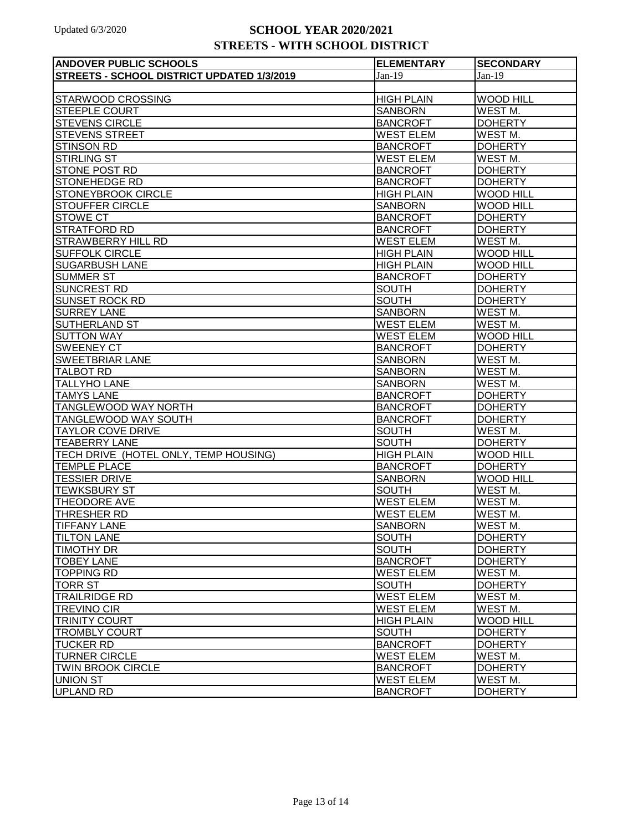| <b>ANDOVER PUBLIC SCHOOLS</b>              | <b>ELEMENTARY</b> | <b>SECONDARY</b>   |
|--------------------------------------------|-------------------|--------------------|
| STREETS - SCHOOL DISTRICT UPDATED 1/3/2019 | $Jan-19$          | $Jan-19$           |
|                                            |                   |                    |
| <b>STARWOOD CROSSING</b>                   | <b>HIGH PLAIN</b> | <b>WOOD HILL</b>   |
| <b>STEEPLE COURT</b>                       | <b>SANBORN</b>    | WEST M.            |
| <b>STEVENS CIRCLE</b>                      | <b>BANCROFT</b>   | <b>DOHERTY</b>     |
| <b>STEVENS STREET</b>                      | <b>WEST ELEM</b>  | WEST M.            |
| <b>STINSON RD</b>                          | <b>BANCROFT</b>   | <b>DOHERTY</b>     |
| <b>STIRLING ST</b>                         | <b>WEST ELEM</b>  | WEST M.            |
| STONE POST RD                              | <b>BANCROFT</b>   | <b>DOHERTY</b>     |
| STONEHEDGE RD                              | <b>BANCROFT</b>   | <b>DOHERTY</b>     |
| <b>STONEYBROOK CIRCLE</b>                  | <b>HIGH PLAIN</b> | <b>WOOD HILL</b>   |
| <b>STOUFFER CIRCLE</b>                     | <b>SANBORN</b>    | <b>WOOD HILL</b>   |
| <b>STOWE CT</b>                            | <b>BANCROFT</b>   | <b>DOHERTY</b>     |
| <b>STRATFORD RD</b>                        | <b>BANCROFT</b>   | <b>DOHERTY</b>     |
| <b>STRAWBERRY HILL RD</b>                  | <b>WEST ELEM</b>  | WEST <sub>M.</sub> |
| <b>SUFFOLK CIRCLE</b>                      | <b>HIGH PLAIN</b> | <b>WOOD HILL</b>   |
| <b>SUGARBUSH LANE</b>                      | <b>HIGH PLAIN</b> | <b>WOOD HILL</b>   |
| <b>SUMMER ST</b>                           | <b>BANCROFT</b>   | <b>DOHERTY</b>     |
| <b>SUNCREST RD</b>                         | <b>SOUTH</b>      | <b>DOHERTY</b>     |
| <b>SUNSET ROCK RD</b>                      | <b>SOUTH</b>      | <b>DOHERTY</b>     |
| <b>SURREY LANE</b>                         | <b>SANBORN</b>    | WEST M.            |
| <b>SUTHERLAND ST</b>                       | <b>WEST ELEM</b>  | WEST M.            |
| <b>SUTTON WAY</b>                          | <b>WEST ELEM</b>  | <b>WOOD HILL</b>   |
| <b>SWEENEY CT</b>                          | <b>BANCROFT</b>   | <b>DOHERTY</b>     |
| <b>SWEETBRIAR LANE</b>                     | <b>SANBORN</b>    | WEST M.            |
| <b>TALBOT RD</b>                           | <b>SANBORN</b>    | WEST M.            |
| <b>TALLYHO LANE</b>                        | <b>SANBORN</b>    | WEST M.            |
| <b>TAMYS LANE</b>                          | <b>BANCROFT</b>   | <b>DOHERTY</b>     |
| TANGLEWOOD WAY NORTH                       | <b>BANCROFT</b>   | <b>DOHERTY</b>     |
| <b>TANGLEWOOD WAY SOUTH</b>                | <b>BANCROFT</b>   | <b>DOHERTY</b>     |
| <b>TAYLOR COVE DRIVE</b>                   | <b>SOUTH</b>      | WEST M.            |
| <b>TEABERRY LANE</b>                       | <b>SOUTH</b>      | <b>DOHERTY</b>     |
| TECH DRIVE (HOTEL ONLY, TEMP HOUSING)      | <b>HIGH PLAIN</b> | <b>WOOD HILL</b>   |
| <b>TEMPLE PLACE</b>                        | <b>BANCROFT</b>   | <b>DOHERTY</b>     |
| <b>TESSIER DRIVE</b>                       | <b>SANBORN</b>    | <b>WOOD HILL</b>   |
| <b>TEWKSBURY ST</b>                        | <b>SOUTH</b>      | WEST <sub>M.</sub> |
| <b>THEODORE AVE</b>                        | <b>WEST ELEM</b>  | WEST M.            |
| <b>THRESHER RD</b>                         | <b>WEST ELEM</b>  | WEST M.            |
| <b>TIFFANY LANE</b>                        | <b>SANBORN</b>    | WEST <sub>M.</sub> |
| <b>TILTON LANE</b>                         | <b>SOUTH</b>      | <b>DOHERTY</b>     |
| <b>TIMOTHY DR</b>                          | <b>SOUTH</b>      | <b>DOHERTY</b>     |
| <b>TOBEY LANE</b>                          | <b>BANCROFT</b>   | <b>DOHERTY</b>     |
| <b>TOPPING RD</b>                          | <b>WEST ELEM</b>  | WEST M.            |
| <b>TORR ST</b>                             | <b>SOUTH</b>      | <b>DOHERTY</b>     |
| <b>TRAILRIDGE RD</b>                       | <b>WEST ELEM</b>  | WEST M.            |
| <b>TREVINO CIR</b>                         | <b>WEST ELEM</b>  | WEST M.            |
| TRINITY COURT                              | <b>HIGH PLAIN</b> | <b>WOOD HILL</b>   |
| <b>TROMBLY COURT</b>                       | <b>SOUTH</b>      | <b>DOHERTY</b>     |
| <b>TUCKER RD</b>                           | <b>BANCROFT</b>   | <b>DOHERTY</b>     |
| <b>TURNER CIRCLE</b>                       | <b>WEST ELEM</b>  | WEST M.            |
| <b>TWIN BROOK CIRCLE</b>                   | <b>BANCROFT</b>   | <b>DOHERTY</b>     |
| <b>UNION ST</b>                            | <b>WEST ELEM</b>  | WEST M.            |
| <b>UPLAND RD</b>                           | <b>BANCROFT</b>   | <b>DOHERTY</b>     |